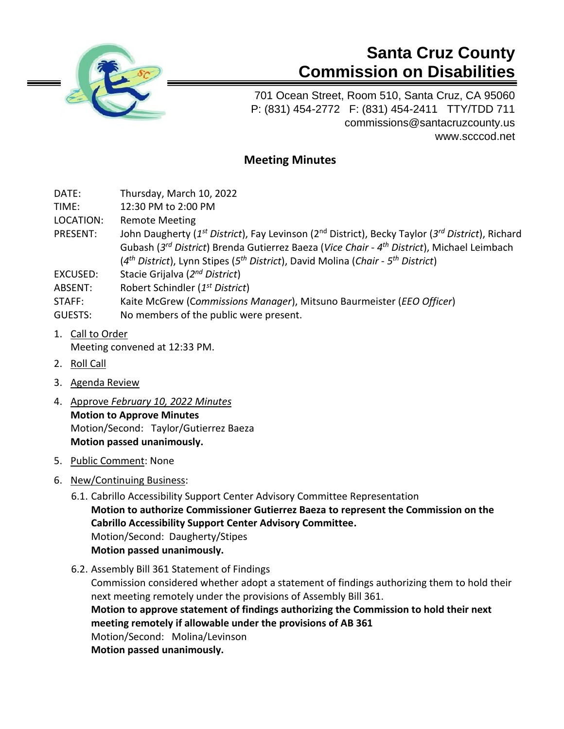

# **Santa Cruz County Commission on Disabilities**

701 Ocean Street, Room 510, Santa Cruz, CA 95060 P: (831) 454-2772 F: (831) 454-2411 TTY/TDD 711 [commissions@santacruzcounty.us](mailto:commissions@santacruzcounty.us) www.scccod.net

# **Meeting Minutes**

DATE: Thursday, March 10, 2022

TIME: 12:30 PM to 2:00 PM

LOCATION: Remote Meeting

- PRESENT: John Daugherty (1<sup>st</sup> District), Fay Levinson (2<sup>nd</sup> District), Becky Taylor (3<sup>rd</sup> District), Richard Gubash (*3 rd District*) Brenda Gutierrez Baeza (*Vice Chair* - *4 th District*), Michael Leimbach (*4 th District*), Lynn Stipes (*5 th District*), David Molina (*Chair - 5 th District*)
- EXCUSED: Stacie Grijalva (*2 nd District*)
- ABSENT: Robert Schindler (*1 st District*)
- STAFF: Kaite McGrew (C*ommissions Manager*), Mitsuno Baurmeister (*EEO Officer*)
- GUESTS: No members of the public were present.
- 1. Call to Order Meeting convened at 12:33 PM.
- 2. Roll Call
- 3. Agenda Review
- 4. Approve *February 10, 2022 Minutes* **Motion to Approve Minutes** Motion/Second: Taylor/Gutierrez Baeza **Motion passed unanimously.**
- 5. Public Comment: None
- 6. New/Continuing Business:
	- 6.1. Cabrillo Accessibility Support Center Advisory Committee Representation **Motion to authorize Commissioner Gutierrez Baeza to represent the Commission on the Cabrillo Accessibility Support Center Advisory Committee.**  Motion/Second: Daugherty/Stipes **Motion passed unanimously.**
	- 6.2. Assembly Bill 361 Statement of Findings

Commission considered whether adopt a statement of findings authorizing them to hold their next meeting remotely under the provisions of Assembly Bill 361. **Motion to approve statement of findings authorizing the Commission to hold their next meeting remotely if allowable under the provisions of AB 361** Motion/Second: Molina/Levinson **Motion passed unanimously.**